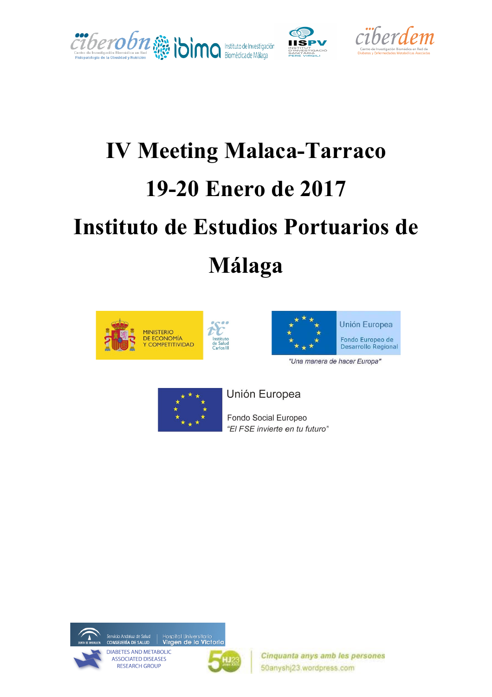



# **IV Meeting Malaca-Tarraco 19-20 Enero de 2017 Instituto de Estudios Portuarios de Málaga**





"Una manera de hacer Europa"



Unión Europea

Fondo Social Europeo "El FSE invierte en tu futuro"





Hospital Universitario<br>Virgen de la Victoria

Cinquanta anys amb les persones 50anyshj23.wordpress.com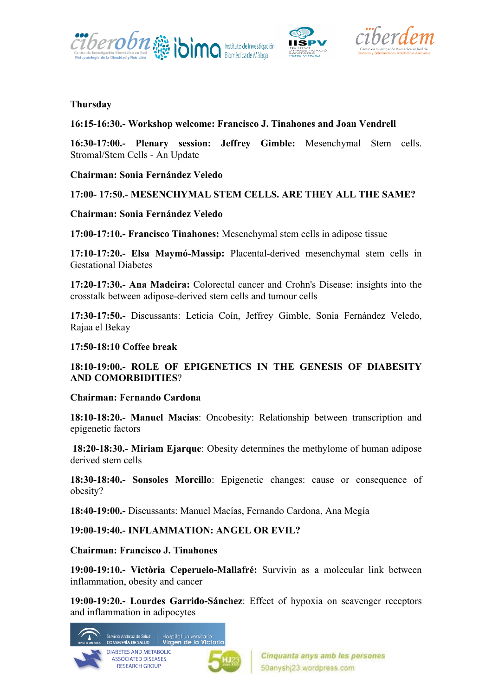





#### **Thursday**

#### **16:15-16:30.- Workshop welcome: Francisco J. Tinahones and Joan Vendrell**

**16:30-17:00.- Plenary session: Jeffrey Gimble:** Mesenchymal Stem cells. Stromal/Stem Cells - An Update

**Chairman: Sonia Fernández Veledo**

#### **17:00- 17:50.- MESENCHYMAL STEM CELLS. ARE THEY ALL THE SAME?**

#### **Chairman: Sonia Fernández Veledo**

**17:00-17:10.- Francisco Tinahones:** Mesenchymal stem cells in adipose tissue

**17:10-17:20.- Elsa Maymó-Massip:** Placental-derived mesenchymal stem cells in Gestational Diabetes

**17:20-17:30.- Ana Madeira:** Colorectal cancer and Crohn's Disease: insights into the crosstalk between adipose-derived stem cells and tumour cells

**17:30-17:50.-** Discussants: Leticia Coín, Jeffrey Gimble, Sonia Fernández Veledo, Rajaa el Bekay

#### **17:50-18:10 Coffee break**

#### **18:10-19:00.- ROLE OF EPIGENETICS IN THE GENESIS OF DIABESITY AND COMORBIDITIES**?

#### **Chairman: Fernando Cardona**

**18:10-18:20.- Manuel Macias**: Oncobesity: Relationship between transcription and epigenetic factors

**18:20-18:30.- Miriam Ejarque**: Obesity determines the methylome of human adipose derived stem cells

**18:30-18:40.- Sonsoles Morcillo**: Epigenetic changes: cause or consequence of obesity?

**18:40-19:00.-** Discussants: Manuel Macías, Fernando Cardona, Ana Megía

**19:00-19:40.- INFLAMMATION: ANGEL OR EVIL?**

**Chairman: Francisco J. Tinahones** 

**19:00-19:10.- Victòria Ceperuelo-Mallafré:** Survivin as a molecular link between inflammation, obesity and cancer

**19:00-19:20.- Lourdes Garrido-Sánchez**: Effect of hypoxia on scavenger receptors and inflammation in adipocytes

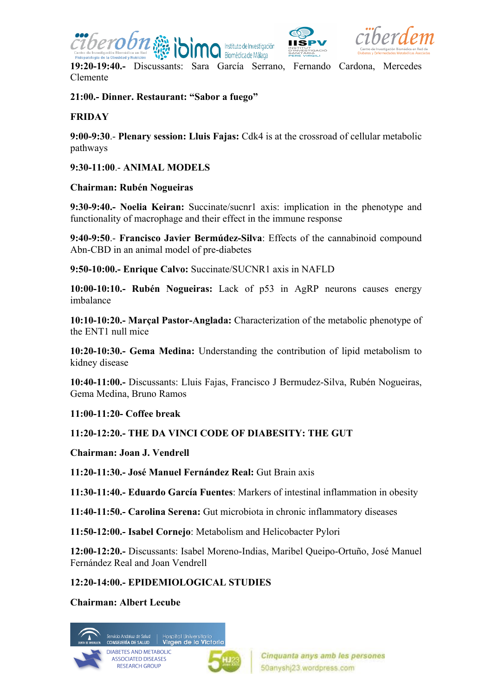





**19:20-19:40.-** Discussants: Sara García Serrano, Fernando Cardona, Mercedes Clemente

**21:00.- Dinner. Restaurant: "Sabor a fuego"**

## **FRIDAY**

**9:00-9:30**.- **Plenary session: Lluis Fajas:** Cdk4 is at the crossroad of cellular metabolic pathways

**9:30-11:00**.- **ANIMAL MODELS**

### **Chairman: Rubén Nogueiras**

**9:30-9:40.- Noelia Keiran:** Succinate/sucnr1 axis: implication in the phenotype and functionality of macrophage and their effect in the immune response

**9:40-9:50**.- **Francisco Javier Bermúdez-Silva**: Effects of the cannabinoid compound Abn-CBD in an animal model of pre-diabetes

**9:50-10:00.- Enrique Calvo:** Succinate/SUCNR1 axis in NAFLD

**10:00-10:10.- Rubén Nogueiras:** Lack of p53 in AgRP neurons causes energy imbalance

**10:10-10:20.- Marçal Pastor-Anglada:** Characterization of the metabolic phenotype of the ENT1 null mice

**10:20-10:30.- Gema Medina:** Understanding the contribution of lipid metabolism to kidney disease

**10:40-11:00.-** Discussants: Lluis Fajas, Francisco J Bermudez-Silva, Rubén Nogueiras, Gema Medina, Bruno Ramos

**11:00-11:20- Coffee break**

# **11:20-12:20.- THE DA VINCI CODE OF DIABESITY: THE GUT**

**Chairman: Joan J. Vendrell**

**11:20-11:30.- José Manuel Fernández Real:** Gut Brain axis

**11:30-11:40.- Eduardo García Fuentes**: Markers of intestinal inflammation in obesity

**11:40-11:50.- Carolina Serena:** Gut microbiota in chronic inflammatory diseases

**11:50-12:00.- Isabel Cornejo**: Metabolism and Helicobacter Pylori

**12:00-12:20.-** Discussants: Isabel Moreno-Indias, Maribel Queipo-Ortuño, José Manuel Fernández Real and Joan Vendrell

# **12:20-14:00.- EPIDEMIOLOGICAL STUDIES**

**Chairman: Albert Lecube**